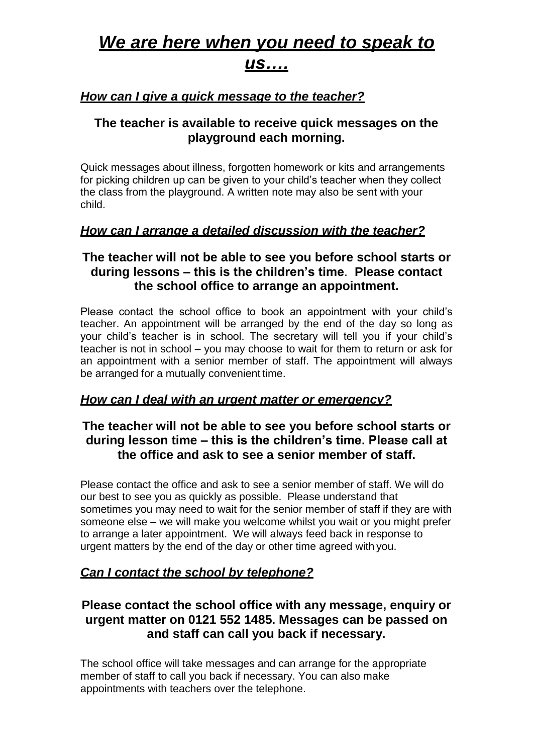## *We are here when you need to speak to us….*

## *How can I give a quick message to the teacher?*

## **The teacher is available to receive quick messages on the playground each morning.**

Quick messages about illness, forgotten homework or kits and arrangements for picking children up can be given to your child's teacher when they collect the class from the playground. A written note may also be sent with your child.

### *How can I arrange a detailed discussion with the teacher?*

## **The teacher will not be able to see you before school starts or during lessons – this is the children's time**. **Please contact the school office to arrange an appointment.**

Please contact the school office to book an appointment with your child's teacher. An appointment will be arranged by the end of the day so long as your child's teacher is in school. The secretary will tell you if your child's teacher is not in school – you may choose to wait for them to return or ask for an appointment with a senior member of staff. The appointment will always be arranged for a mutually convenient time.

### *How can I deal with an urgent matter or emergency?*

## **The teacher will not be able to see you before school starts or during lesson time – this is the children's time. Please call at the office and ask to see a senior member of staff.**

Please contact the office and ask to see a senior member of staff. We will do our best to see you as quickly as possible. Please understand that sometimes you may need to wait for the senior member of staff if they are with someone else – we will make you welcome whilst you wait or you might prefer to arrange a later appointment. We will always feed back in response to urgent matters by the end of the day or other time agreed with you.

## *Can I contact the school by telephone?*

## **Please contact the school office with any message, enquiry or urgent matter on 0121 552 1485. Messages can be passed on and staff can call you back if necessary.**

The school office will take messages and can arrange for the appropriate member of staff to call you back if necessary. You can also make appointments with teachers over the telephone.